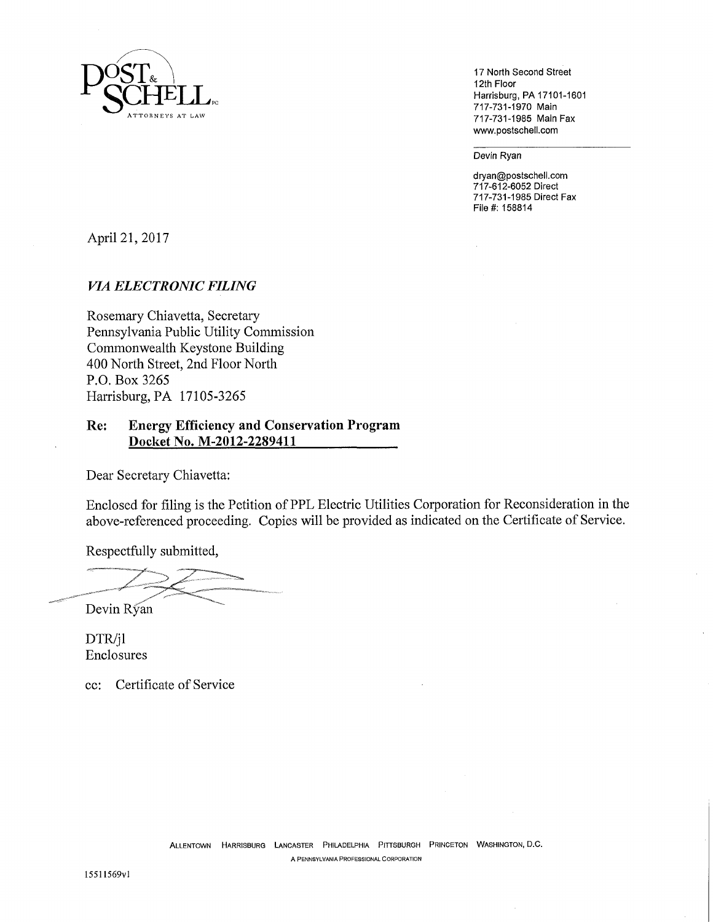

17 North Second Street 12th Floor Harrisburg, PA 17101-1601 717-731-1970 Main 717-731-1985 Main Fax www.postschell.com

Devin Ryan

dryan@postschell.com 717-612-6052 Direct 717-731-1985 Direct Fax File #: 158814

April 21, 2017

## *VIA ELECTRONIC FILING*

Rosemary Chiavetta, Secretary Pennsylvania Public Utility Commission Commonwealth Keystone Building 400 North Street, 2nd Floor North P.O. Box 3265 Harrisburg, PA 17105-3265

## **Re: Energy Efficiency and Conservation Program Docket No. M-2012-2289411**

Dear Secretary Chiavetta:

Enclosed for filing is the Petition of PPL Electric Utilities Corporation for Reconsideration in the above-referenced proceeding. Copies will be provided as indicated on the Certificate of Service.

Respectfully submitted,

Devin Ryan

DTR/jl Enclosures

cc: Certificate of Service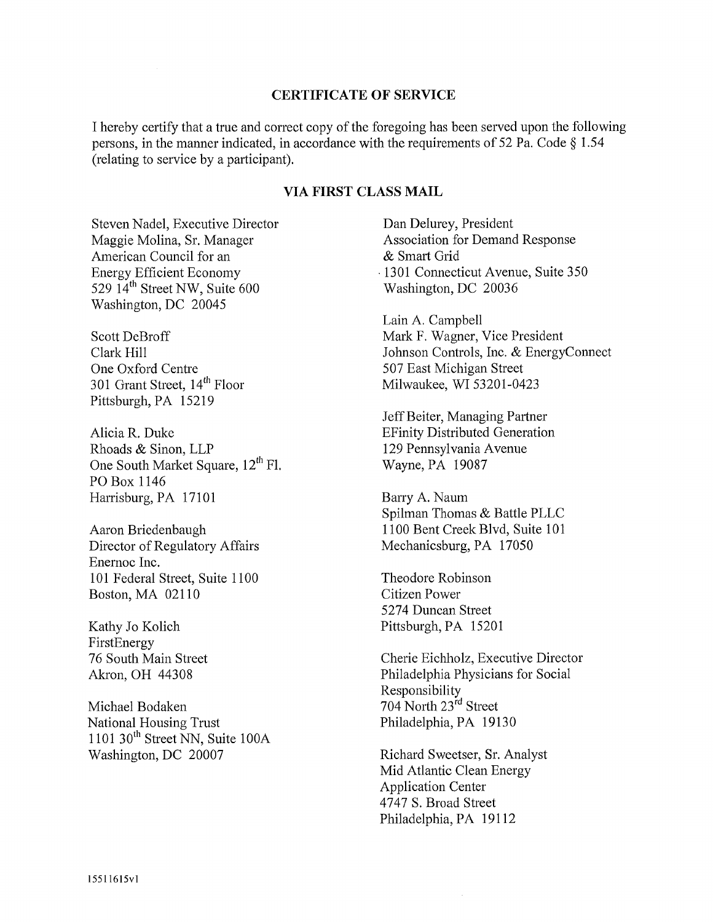### **CERTIFICATE OF SERVICE**

I hereby certify that a true and correct copy of the foregoing has heen served upon the following persons, in the manner indicated, in accordance with the requirements of 52 Pa. Code § 1.54 (relating to service by a participant).

## **VIA FIRST CLASS MAIL**

Steven Nadel, Executive Director Maggie Molina, Sr. Manager American Council for an Energy Efficient Economy 529  $14<sup>th</sup>$  Street NW, Suite 600 Washington, DC 20045

Scott DeBroff Clark Hill One Oxford Centre 301 Grant Street, 14<sup>th</sup> Floor Pittsburgh, PA 15219

Alicia R. Duke Rhoads & Sinon, LLP One South Market Square, 12<sup>th</sup> Fl. PO Box 1146 Harrisburg, PA 17101

Aaron Briedenbaugh Director of Regulatory Affairs Enemoc Inc. 101 Federal Street, Suite 1100 Boston, MA 02110

Kathy Jo Kolich FirstEnergy 76 South Main Street Akron, OH 44308

Michael Bodaken National Housing Trust  $1101$  30<sup>th</sup> Street NN, Suite 100A Washington, DC 20007

Dan Delurey, President Association for Demand Response & Smart Grid •1301 Connecticut Avenue, Suite 350 Washington, DC 20036

Lain A. Campbell Mark F. Wagner, Vice President Johnson Controls, Inc. & EnergyConnect 507 East Michigan Street Milwaukee, WI 53201-0423

Jeff Beiter, Managing Partner EFinity Distributed Generation 129 Pennsylvania Avenue Wayne, PA 19087

Barry A. Naum Spilman Thomas & Battle PLLC 1100 Bent Creek Blvd, Suite 101 Mechanicsburg, PA 17050

Theodore Robinson Citizen Power 5274 Duncan Street Pittsburgh, PA 15201

Cherie Eichholz, Executive Director Philadelphia Physicians for Social Responsibility 704 North 23<sup>rd</sup> Street Philadelphia, PA 19130

Richard Sweetser, Sr. Analyst Mid Atlantic Clean Energy Application Center 4747 S. Broad Street Philadelphia, PA 19112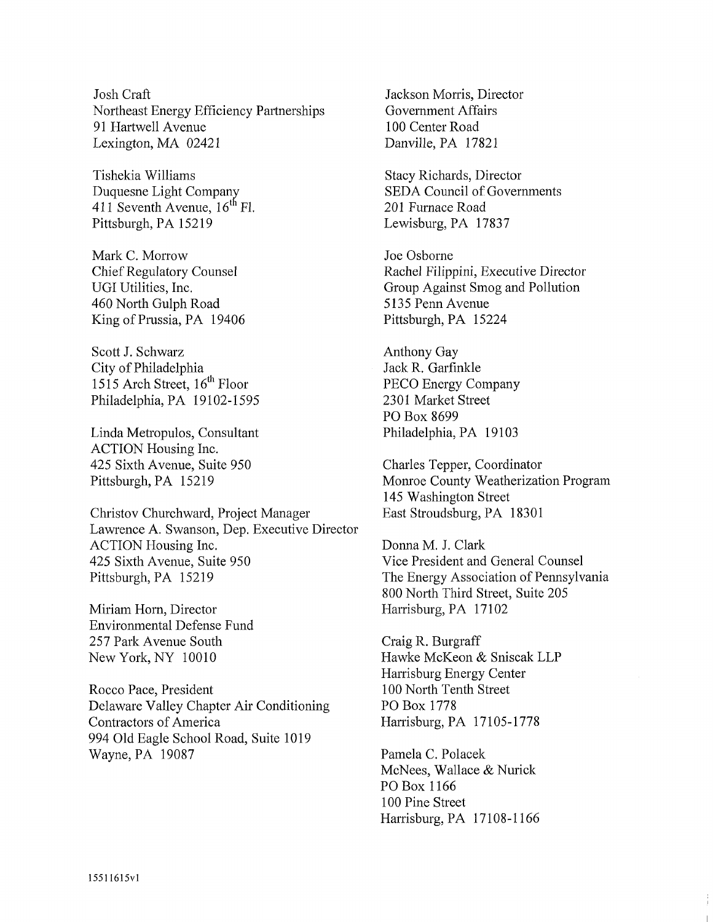Josh Craft Northeast Energy Efficiency Partnerships 91 Hartwell Avenue Lexington, MA 02421

Tishekia Williams Duquesne Light Company 411 Seventh Avenue,  $16<sup>th</sup>$  Fl. Pittsburgh, PA 15219

Mark C. Morrow Chief Regulatory Counsel UGI Utilities, Inc. 460 North Gulph Road King of Prussia, PA 19406

Scott J. Schwarz City of Philadelphia 1515 Arch Street, 16<sup>th</sup> Floor Philadelphia, PA 19102-1595

Linda Metropulos, Consultant ACTION Housing Inc. 425 Sixth Avenue, Suite 950 Pittsburgh, PA 15219

Christov Churchward, Project Manager Lawrence A. Swanson, Dep. Executive Dir ACTION Housing Inc. 425 Sixth Avenue, Suite 950 Pittsburgh, PA 15219

Miriam Horn, Director Environmental Defense Fund 257 Park Avenue South New York, NY 10010

Rocco Pace, President Delaware Valley Chapter Air Conditioning Contractors of America 994 Old Eagle School Road, Suite 1019 Wayne, PA 19087

Jackson Morris, Director Government Affairs 100 Center Road Danville, PA 17821

Stacy Richards, Director SEDA Council of Governments 201 Furnace Road Lewisburg, PA 17837

Joe Osborne Rachel Filippini, Executive Director Group Against Smog and Pollution 5135 Penn Avenue Pittsburgh, PA 15224

Anthony Gay Jack R. Garfinkle PECO Energy Company 2301 Market Street PO Box 8699 Philadelphia, PA 19103

Charles Tepper, Coordinator Monroe County Weatherization Program 145 Washington Street East Stroudsburg, PA 18301

Donna M. J. Clark Vice President and General Counsel The Energy Association of Pennsylvania 800 North Third Street, Suite 205 Harrisburg, PA 17102

Craig R. Burgraff Hawke McKeon & Sniscak LLP Harrisburg Energy Center 100 North Tenth Street PO Box 1778 Harrisburg, PA 17105-1778

Pamela C. Polacek McNees, Wallace & Nurick PO Box 1166 100 Pine Street Harrisburg, PA 17108-1166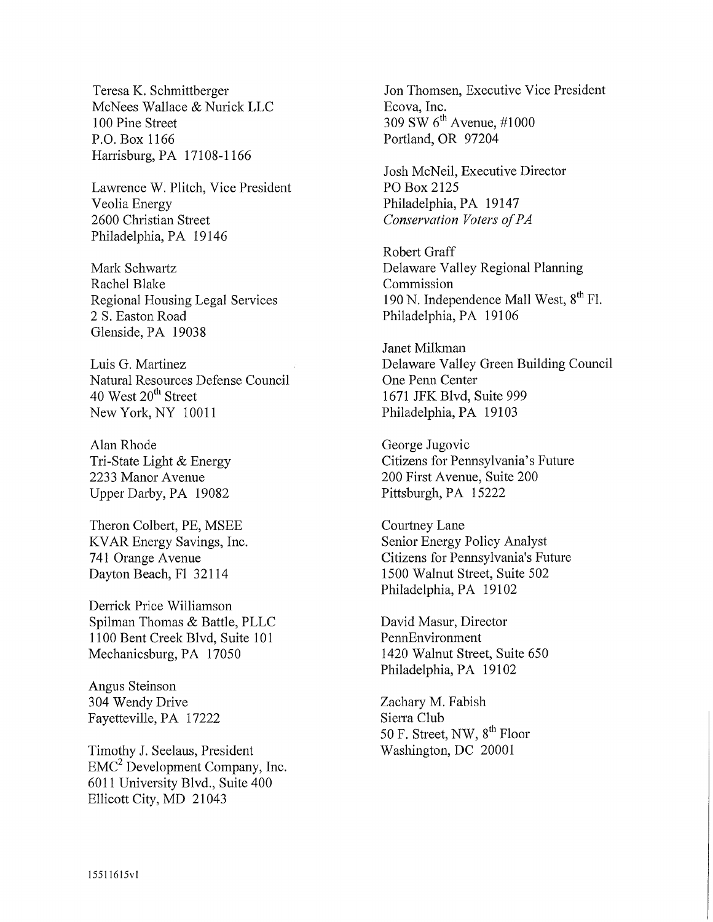Teresa K. Schmittberger McNees Wallace & Nurick LLC 100 Pine Street P.O.Box 1166 Harrisburg, PA 17108-1166

Lawrence W. Plitch, Vice President Veolia Energy 2600 Christian Street Philadelphia, PA 19146

Mark Schwartz Rachel Blake Regional Housing Legal Services 2 S. Easton Road Glenside, PA 19038

Luis G. Martinez Natural Resources Defense Council 40 West 20<sup>th</sup> Street New York, NY 10011

Alan Rhode Tri-State Light & Energy 2233 Manor Avenue Upper Darby, PA 19082

Theron Colbert, PE, MSEE KVAR Energy Savings, Inc. 741 Orange Avenue Dayton Beach, F1 32114

Derrick Price Williamson Spilman Thomas & Battle, PLLC 1100 Bent Creek Blvd, Suite 101 Mechanicsburg, PA 17050

Angus Steinson 304 Wendy Drive Fayetteville, PA 17222

Timothy J. Seelaus, President  $EMC<sup>2</sup>$  Development Company, Inc. 6011 University Blvd., Suite 400 Ellicott City, MD 21043

Jon Thomsen, Executive Vice President Ecova, Inc. 309 SW  $6^{\text{th}}$  Avenue, #1000 Portland, OR 97204

Josh McNeil, Executive Director PO Box 2125 Philadelphia, PA 19147 *Conservation Voters of PA* 

Robert Graff Delaware Valley Regional Planning Commission 190 N. Independence Mall West,  $8^{\text{th}}$  Fl. Philadelphia, PA 19106

Janet Milkman Delaware Valley Green Building Council One Penn Center 1671 JFK Blvd, Suite 999 Philadelphia, PA 19103

George Jugovic Citizens for Pennsylvania's Future 200 First Avenue, Suite 200 Pittsburgh, PA 15222

Courtney Lane Senior Energy Policy Analyst Citizens for Pennsylvania's Future 1500 Walnut Street, Suite 502 Philadelphia, PA 19102

David Masur, Director PennEnvironment 1420 Walnut Street, Suite 650 Philadelphia, PA 19102

Zachary M. Fabish Sierra Club 50 F. Street, NW,  $8<sup>th</sup>$  Floor Washington, DC 20001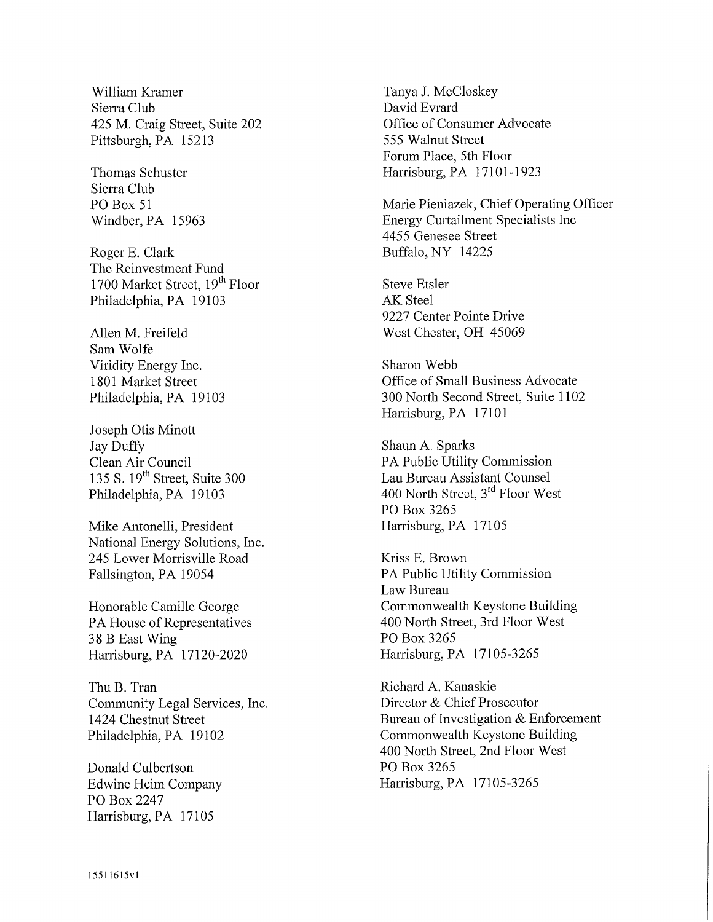William Kramer Tanya J. McCloskey Sierra Club David Evrard 425 M. Craig Street, Suite 202 Office of Consumer Advocate Pittsburgh, PA 15213 555 Walnut Street

Sierra Club

Roger E. Clark Buffalo, NY 14225 The Reinvestment Fund 1700 Market Street, 19<sup>th</sup> Floor Steve Etsler Philadelphia, PA 19103 AK Steel

Sam Wolfe Viridity Energy Inc. Sharon Webb

Joseph Otis Minott Jay Duffy<br>
Clean Air Council<br>
Shaun A. Sparks<br>
PA Public Utility Philadelphia, PA 19103

Mike Antonelli, President Harrisburg, PA 17105 National Energy Solutions, Inc. 245 Lower Morrisville Road Kriss E. Brown Fallsington, PA 19054 PA Public Utility Commission

38 B East Wing PO Box 3265 Harrisburg, PA 17120-2020 Harrisburg, PA 17105-3265

Thu B. Tran Richard A. Kanaskie Community Legal Services, Inc. Director & Chief Prosecutor

Donald Culbertson PO Box 3265 PO Box 2247 Harrisburg, PA 17105

Forum Place, 5th Floor Thomas Schuster Harrisburg, PA 17101-1923

PO Box 51 Marie Pieniazek, Chief Operating Officer Windber, PA 15963 Energy Curtailment Specialists Inc 4455 Genesee Street

9227 Center Pointe Drive Allen M. Freifeld West Chester, OH 45069

1801 Market Street **Conserversity** Office of Small Business Advocate Philadelphia, PA 19103 300 North Second Street, Suite 1102 Harrisburg, PA 17101

Clean Air Council PA Public Utility Commission<br>135 S. 19<sup>th</sup> Street, Suite 300 Lau Bureau Assistant Counsel Lau Bureau Assistant Counsel 400 North Street,  $3^{rd}$  Floor West PO Box 3265

Law Bureau Honorable Camille George Commonwealth Keystone Building PA House of Representatives 400 North Street, 3rd Floor West

1424 Chestnut Street Bureau of Investigation & Enforcement Philadelphia, PA 19102 Commonwealth Keystone Building 400 North Street, 2nd Floor West Edwine Heim Company Harrisburg, PA 17105-3265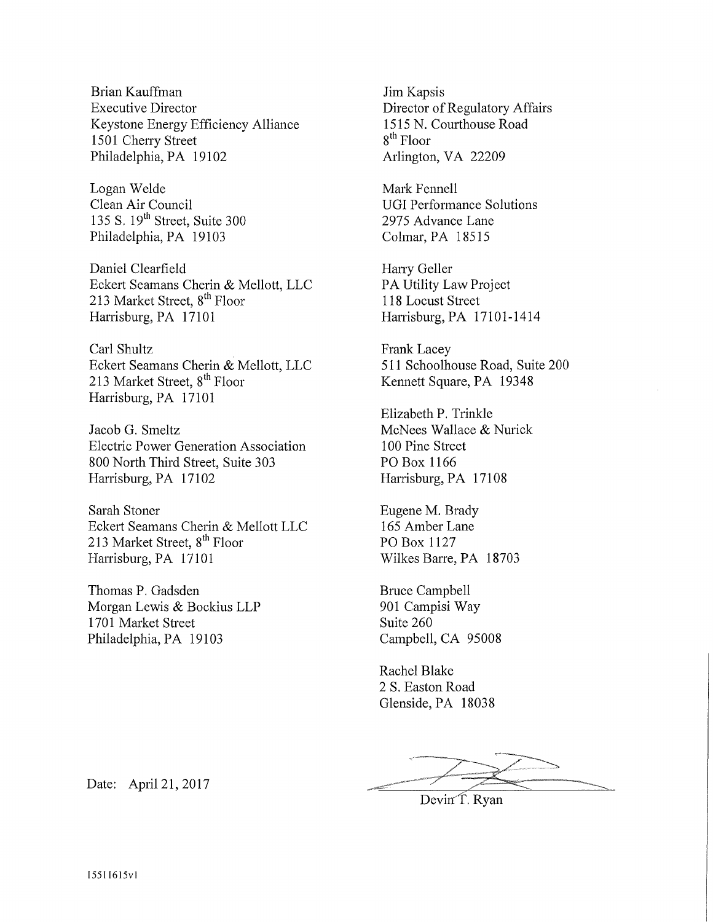Brian Kauffman Executive Director Keystone Energy Efficiency Alliance 1501 Cherry Street Philadelphia, PA 19102

Logan Welde Clean Air Council 135 S. 19<sup>th</sup> Street, Suite 300 Philadelphia, PA 19103

Daniel Clearfield Eckert Seamans Cherin & Mellott, LLC 213 Market Street, 8<sup>th</sup> Floor Harrisburg, PA 17101

Carl Shultz Eckert Seamans Cherin & Mellott, LLC 213 Market Street, 8<sup>th</sup> Floor Harrisburg, PA 17101

Jacob G. Smeltz Electric Power Generation Association 800 North Third Street, Suite 303 Harrisburg, PA 17102

Sarah Stoner Eckert Seamans Cherin & Mellott LLC 213 Market Street, 8<sup>th</sup> Floor Harrisburg, PA 17101

Thomas P. Gadsden Morgan Lewis & Bockius LLP 1701 Market Street Philadelphia, PA 19103

Jim Kapsis Director of Regulatory Affairs 1515 N. Courthouse Road 8 th Floor Arlington, VA 22209

Mark Fennell UGI Performance Solutions 2975 Advance Lane Colmar, PA 18515

Harry Geller PA Utility Law Project 118 Locust Street Harrisburg, PA 17101-1414

Frank Lacey 511 Schoolhouse Road, Suite 200 Kennett Square, PA 19348

Elizabeth P. Trinkle McNees Wallace & Nurick 100 Pine Street PO Box 1166 Harrisburg, PA 17108

Eugene M. Brady 165 Amber Lane PO Box 1127 Wilkes Barre, PA 18703

Bruce Campbell 901 Campisi Way Suite 260 Campbell, CA 95008

Rachel Blake 2 S. Easton Road Glenside, PA 18038

Devin T. Ryan

Date: April 21, 2017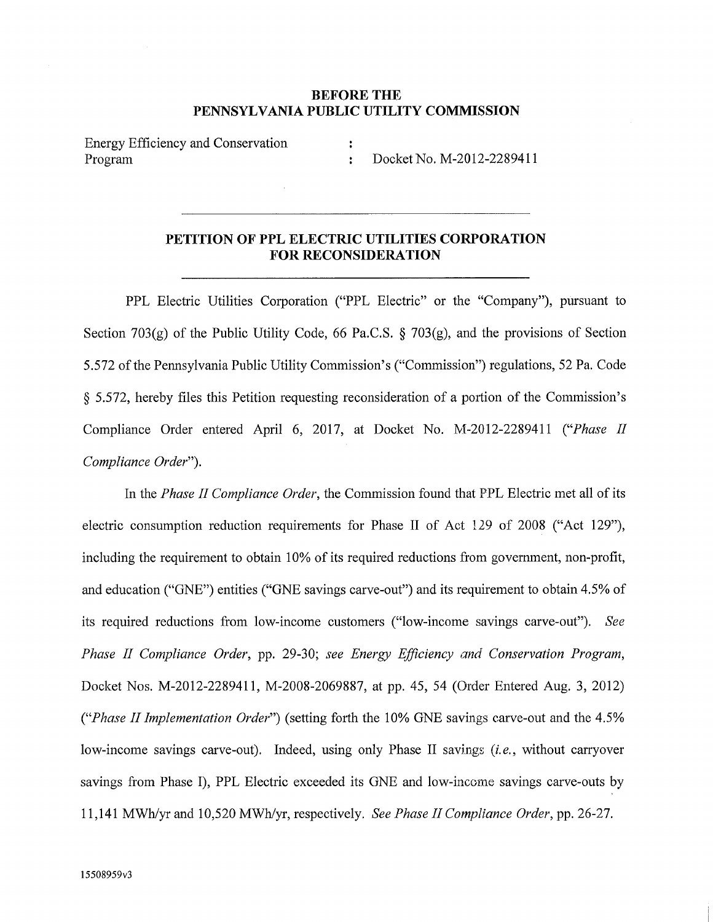### **BEFORE THE PENNSYLVANIA PUBLIC UTILITY COMMISSION**

Energy Efficiency and Conservation : Program : Docket No. M-2012-2289411

## **PETITION OF PPL ELECTRIC UTILITIES CORPORATION FOR RECONSIDERATION**

PPL Electric Utilities Corporation ("PPL Electric" or the "Company"), pursuant to Section 703 $(g)$  of the Public Utility Code, 66 Pa.C.S. § 703 $(g)$ , and the provisions of Section 5.572 of the Pennsylvania Public Utility Commission's ("Commission") regulations, 52 Pa. Code § 5.572, hereby files this Petition requesting reconsideration of a portion of the Commission's Compliance Order entered April 6, 2017, at Docket No. M-2012-2289411 *("Phase II Compliance Order").* 

In the *Phase II Compliance Order,* the Commission found that PPL Electric met all of its electric consumption reduction requirements for Phase II of Act 129 of 2008 ("Act 129"), including the requirement to obtain 10% of its required reductions from government, non-profit, and education ("GNE") entities ("GNE savings carve-out") and its requirement to obtain 4.5% of its required reductions from low-income customers ("low-income savings carve-out"). *See Phase II Compliance Order,* pp. 29-30; *see Energy Efficiency and Conservation Program,*  Docket Nos. M-2012-2289411, M-2008-2069887, at pp. 45, 54 (Order Entered Aug. 3, 2012) *("Phase II Implementation Order")* (setting forth the 10% GNE savings carve-out and the 4.5% low-income savings carve-out). Indeed, using only Phase II savings *(i.e.,* without carryover savings from Phase I), PPL Electric exceeded its GNE and low-income savings carve-outs by 11,141 MWh/yr and 10,520 MWh/yr, respectively. *See Phase II Compliance Order,* pp. 26-27.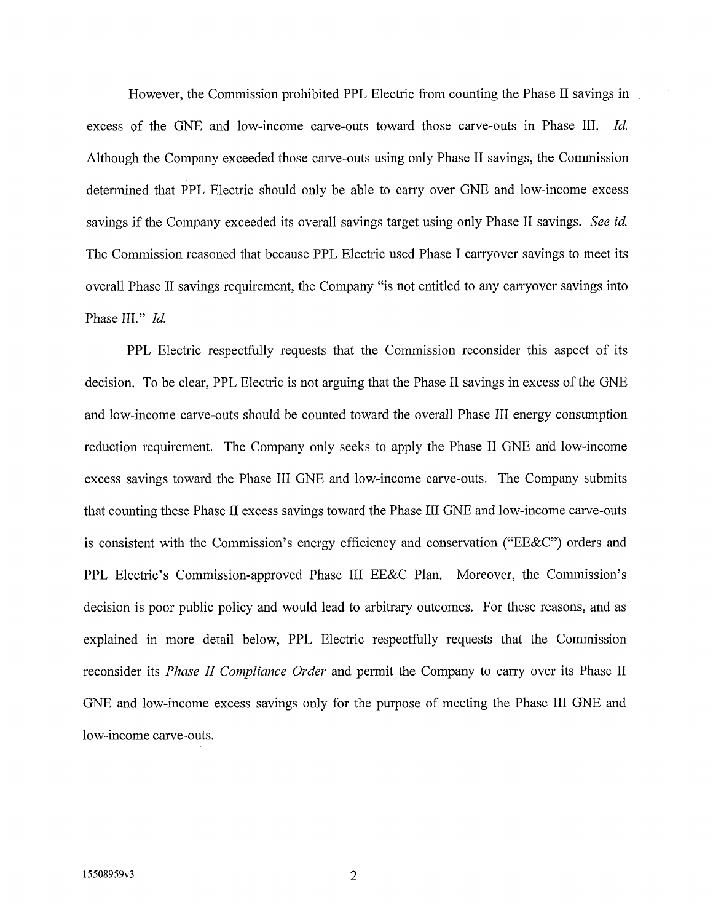However, the Commission prohibited PPL Electric from counting the Phase II savings in excess of the GNE and low-income carve-outs toward those carve-outs in Phase III. *Id.*  Although the Company exceeded those carve-outs using only Phase II savings, the Commission determined that PPL Electric should only he able to carry over GNE and low-income excess savings if the Company exceeded its overall savings target using only Phase II savings. *See id.*  The Commission reasoned that because PPL Electric used Phase I carryover savings to meet its overall Phase II savings requirement, the Company "is not entitled to any carryover savings into Phase III." *Id.* 

PPL Electric respectfully requests that the Commission reconsider this aspect of its decision. To be clear, PPL Electric is not arguing that the Phase II savings in excess of the GNE and low-income carve-outs should be counted toward the overall Phase III energy consumption reduction requirement. The Company only seeks to apply the Phase II GNE and low-income excess savings toward the Phase III GNE and low-income carve-outs. The Company submits that counting these Phase II excess savings toward the Phase III GNE and low-income carve-outs is consistent with the Commission's energy efficiency and conservation ("EE&C") orders and PPL Electric's Commission-approved Phase III EE&C Plan. Moreover, the Commission's decision is poor public policy and would lead to arbitrary outcomes. For these reasons, and as explained in more detail below, PPL Electric respectfully requests that the Commission reconsider its *Phase II Compliance Order* and permit the Company to carry over its Phase II GNE and low-income excess savings only for the purpose of meeting the Phase III GNE and low-income carve-outs.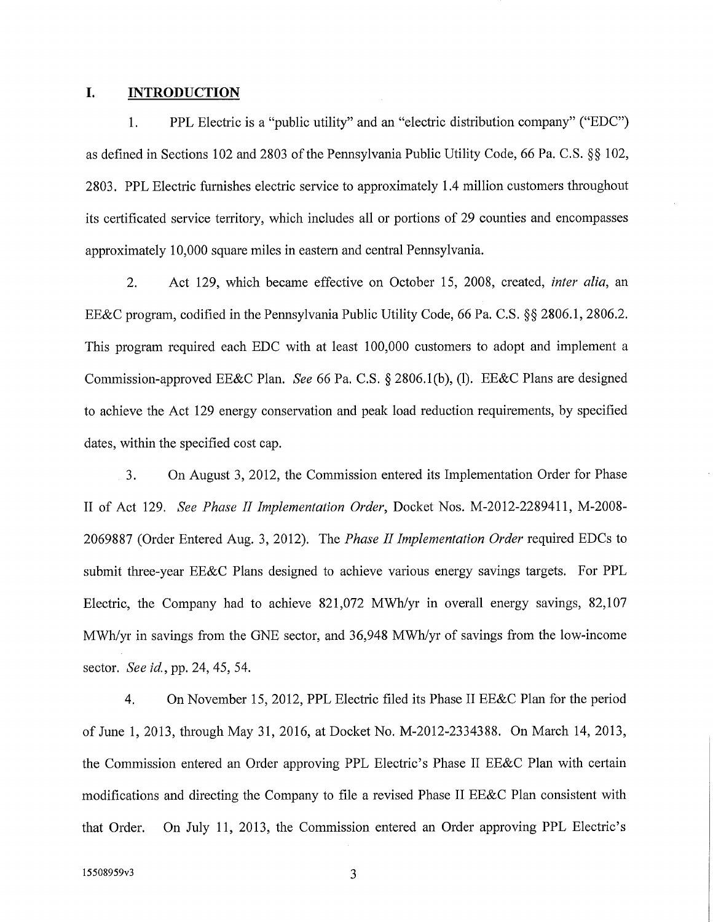### **I. INTRODUCTION**

1. PPL Electric is a "public utility" and an "electric distribution company" ("EDC") as defined in Sections 102 and 2803 of the Pennsylvania Public Utility Code, 66 Pa. C.S. §§ 102, 2803. PPL Electric furnishes electric service to approximately 1.4 million customers throughout its certificated service territory, which includes all or portions of 29 counties and encompasses approximately 10,000 square miles in eastern and central Pennsylvania.

2. Act 129, which became effective on October 15, 2008, created, *inter alia,* an EE&C program, codified in the Pennsylvania Public Utility Code, 66 Pa. C.S. §§ 2806.1, 2806.2. This program required each EDC with at least 100,000 customers to adopt and implement a Commission-approved EE&C Plan. *See* 66 Pa. C.S. § 2806.1(b), (1). EE&C Plans are designed to achieve the Act 129 energy conservation and peak load reduction requirements, by specified dates, within the specified cost cap.

3. On August 3, 2012, the Commission entered its Implementation Order for Phase II of Act 129. *See Phase II Implementation Order,* Docket Nos. M-2012-2289411, M-2008- 2069887 (Order Entered Aug. 3, 2012). The *Phase II Implementation Order* required EDCs to submit three-year EE&C Plans designed to achieve various energy savings targets. For PPL Electric, the Company had to achieve 821,072 MWh/yr in overall energy savings, 82,107 MWh/yr in savings from the GNE sector, and 36,948 MWh/yr of savings from the low-income sector. *See id,,* pp. 24, 45, 54.

4. On November 15, 2012, PPL Electric filed its Phase II EE&C Plan for the period of June 1, 2013, through May 31, 2016, at Docket No. M-2012-2334388. On March 14, 2013, the Commission entered an Order approving PPL Electric's Phase II EE&C Plan with certain modifications and directing the Company to file a revised Phase II EE&C Plan consistent with that Order. On July 11, 2013, the Commission entered an Order approving PPL Electric's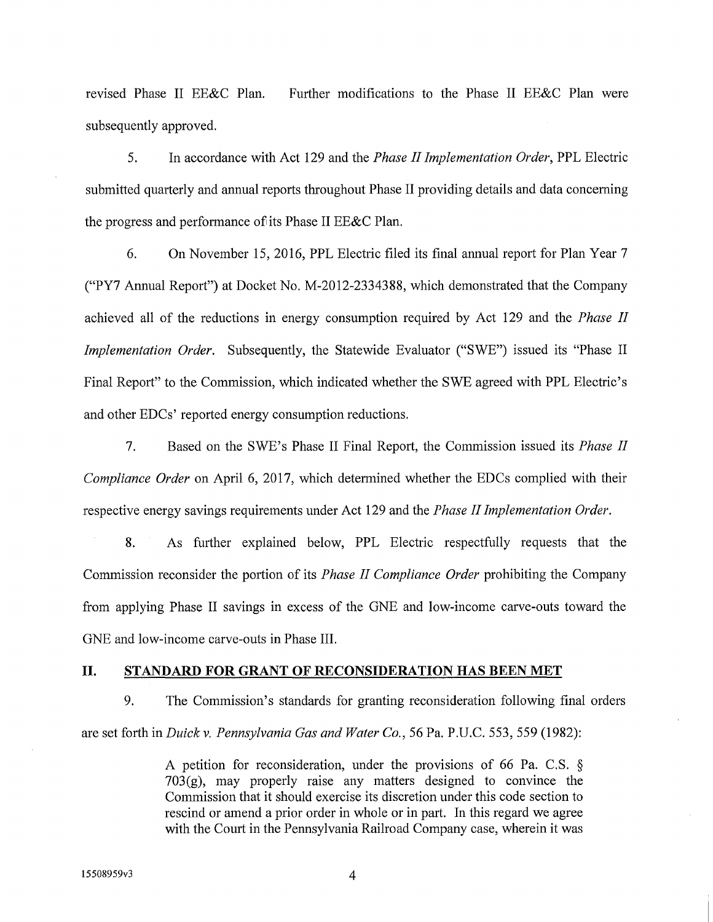revised Phase II EE&C Plan. Further modifications to the Phase II EE&C Plan were subsequently approved.

5. In accordance with Act 129 and the *Phase II Implementation Order,* PPL Electric submitted quarterly and annual reports throughout Phase II providing details and data concerning the progress and performance of its Phase II EE&C Plan.

6. On November 15, 2016, PPL Electric filed its final annual report for Plan Year 7 ("PY7 Annual Report") at Docket No. M-2012-2334388, which demonstrated that the Company achieved all of the reductions in energy consumption required by Act 129 and the *Phase II Implementation Order.* Subsequently, the Statewide Evaluator ("SWE") issued its "Phase II Final Report" to the Commission, which indicated whether the SWE agreed with PPL Electric's and other EDCs' reported energy consumption reductions.

7. Based on the SWE's Phase II Final Report, the Commission issued its *Phase II Compliance Order* on April 6, 2017, which determined whether the EDCs complied with their respective energy savings requirements under Act 129 and the *Phase II Implementation Order.* 

8. As further explained below, PPL Electric respectfully requests that the Commission reconsider the portion of its *Phase II Compliance Order* prohibiting the Company from applying Phase II savings in excess of the GNE and low-income carve-outs toward the GNE and low-income carve-outs in Phase III.

#### **II. STANDARD FOR GRANT OF RECONSIDERATION HAS BEEN MET**

9. The Commission's standards for granting reconsideration following final orders are set forth in *Duick* v. *Pennsylvania Gas and Water Co.,* 56 Pa. P.U.C. 553, 559 (1982):

> A petition for reconsideration, under the provisions of 66 Pa. C.S. § 703(g), may properly raise any matters designed to convince the Commission that it should exercise its discretion under this code section to rescind or amend a prior order in whole or in part. In this regard we agree with the Court in the Pennsylvania Railroad Company case, wherein it was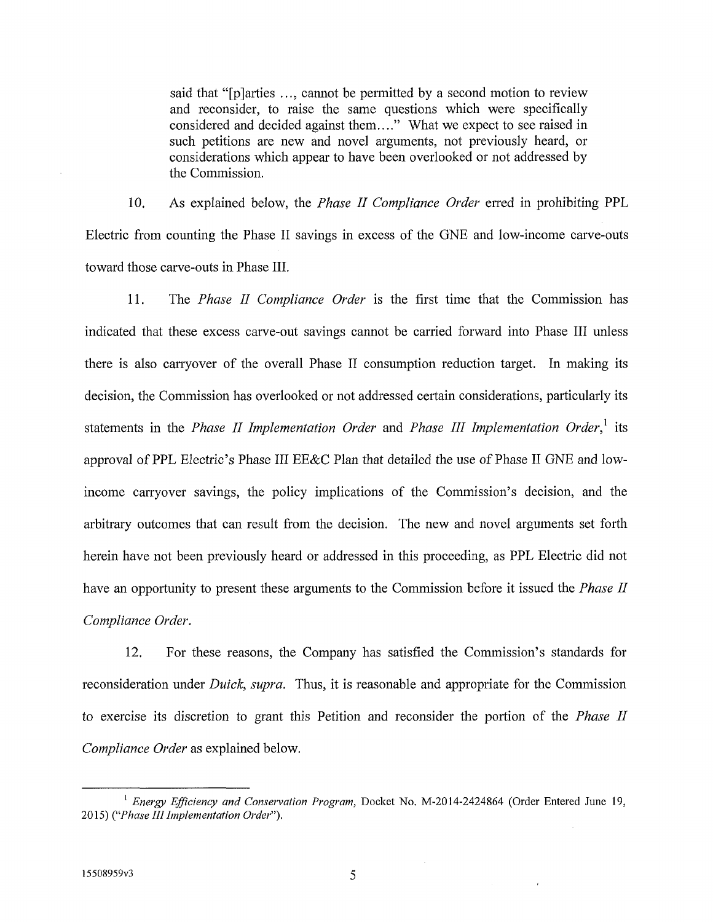said that "[p]arties ..., cannot be permitted by a second motion to review and reconsider, to raise the same questions which were specifically considered and decided against them...." What we expect to see raised in such petitions are new and novel arguments, not previously heard, or considerations which appear to have been overlooked or not addressed by the Commission.

10. As explained below, the *Phase II Compliance Order erred* in prohibiting PPL Electric from counting the Phase II savings in excess of the GNE and low-income carve-outs toward those carve-outs in Phase III.

11. The *Phase II Compliance Order* is the first time that the Commission has indicated that these excess carve-out savings cannot be carried forward into Phase III unless there is also carryover of the overall Phase II consumption reduction target. In making its decision, the Commission has overlooked or not addressed certain considerations, particularly its statements in the *Phase II Implementation Order* and *Phase III Implementation Order}* its approval of PPL Electric's Phase III EE&C Plan that detailed the use of Phase II GNE and lowincome carryover savings, the policy implications of the Commission's decision, and the arbitrary outcomes that can result from the decision. The new and novel arguments set forth herein have not been previously heard or addressed in this proceeding, as PPL Electric did not have an opportunity to present these arguments to the Commission before it issued the *Phase II Compliance Order.* 

12. For these reasons, the Company has satisfied the Commission's standards for reconsideration under *Duick, supra.* Thus, it is reasonable and appropriate for the Commission to exercise its discretion to grant this Petition and reconsider the portion of the *Phase II Compliance Order* as explained below.

<sup>&</sup>lt;sup>1</sup> Energy Efficiency and Conservation Program, Docket No. M-2014-2424864 (Order Entered June 19, 2015) *("Phase III Implementation Order").*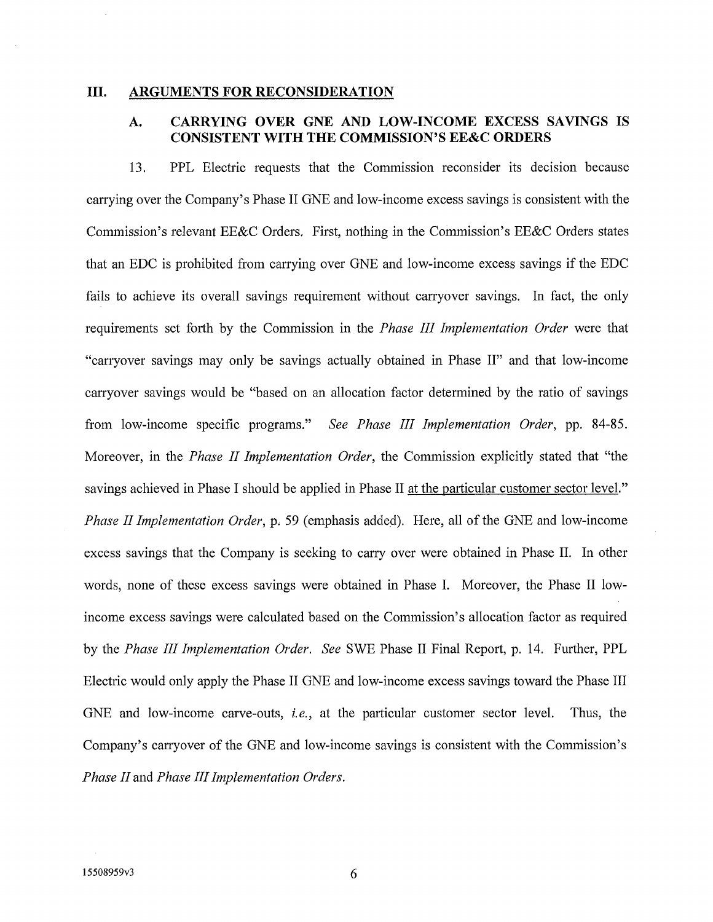### **III.** ARGUMENTS FOR RECONSIDERATION

## **A. CARRYING OVER GNE AND LOW-INCOME EXCESS SAVINGS IS CONSISTENT WITH THE COMMISSION'S EE&C ORDERS**

13. PPL Electric requests that the Commission reconsider its decision because carrying over the Company's Phase II GNE and low-income excess savings is consistent with the Commission's relevant EE&C Orders. First, nothing in the Commission's EE&C Orders states that an EDC is prohibited from carrying over GNE and low-income excess savings if the EDC fails to achieve its overall savings requirement without carryover savings. In fact, the only requirements set forth by the Commission in the *Phase III Implementation Order* were that "carryover savings may only be savings actually obtained in Phase II" and that low-income carryover savings would be "based on an allocation factor determined by the ratio of savings from low-income specific programs." *See Phase III Implementation Order*, pp. 84-85. Moreover, in the *Phase II Implementation Order*, the Commission explicitly stated that "the savings achieved in Phase I should be applied in Phase II at the particular customer sector level." *Phase II Implementation Order,* p. 59 (emphasis added). Here, all of the GNE and low-income excess savings that the Company is seeking to carry over were obtained in Phase II. In other words, none of these excess savings were obtained in Phase I. Moreover, the Phase II lowincome excess savings were calculated based on the Commission's allocation factor as required by the *Phase III Implementation Order. See* SWE Phase II Final Report, p. 14. Further, PPL Electric would only apply the Phase II GNE and low-income excess savings toward the Phase III GNE and low-income carve-outs, *i.e.,* at the particular customer sector level. Thus, the Company's carryover of the GNE and low-income savings is consistent with the Commission's *Phase II* and *Phase III Implementation Orders.*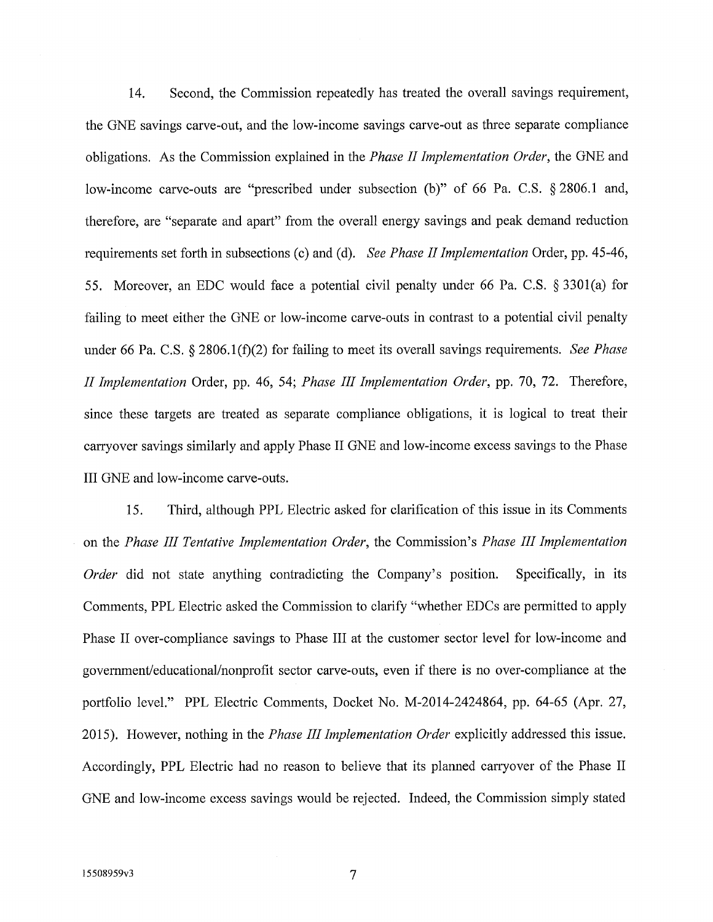14. Second, the Commission repeatedly has treated the overall savings requirement, the GNE savings carve-out, and the low-income savings carve-out as three separate compliance obligations. As the Commission explained in the *Phase II Implementation Order*, the GNE and low-income carve-outs are "prescribed under subsection (b)" of 66 Pa. C.S. §2806.1 and, therefore, are "separate and apart" from the overall energy savings and peak demand reduction requirements set forth in subsections (c) and (d). *See Phase IIImplementation* Order, pp. 45-46, 55. Moreover, an EDC would face a potential civil penalty under 66 Pa. C.S. § 3301(a) for failing to meet either the GNE or low-income carve-outs in contrast to a potential civil penalty under 66 Pa. C.S. § 2806.1(f)(2) for failing to meet its overall savings requirements. *See Phase II Implementation* Order, pp. 46, 54; *Phase III Implementation Order,* pp. 70, 72. Therefore, since these targets are treated as separate compliance obligations, it is logical to treat their carryover savings similarly and apply Phase II GNE and low-income excess savings to the Phase III GNE and low-income carve-outs.

15. Third, although PPL Electric asked for clarification of this issue in its Comments on the *Phase III Tentative Implementation Order,* the Commission's *Phase III Implementation Order* did not state anything contradicting the Company's position. Specifically, in its Comments, PPL Electric asked the Commission to clarify "whether EDCs are permitted to apply Phase II over-compliance savings to Phase III at the customer sector level for low-income and government/educational/nonprofit sector carve-outs, even if there is no over-compliance at the portfolio level." PPL Electric Comments, Docket No. M-2014-2424864, pp. 64-65 (Apr. 27, 2015). However, nothing in the *Phase III Implementation Order* explicitly addressed this issue. Accordingly, PPL Electric had no reason to believe that its planned carryover of the Phase II GNE and low-income excess savings would be rejected. Indeed, the Commission simply stated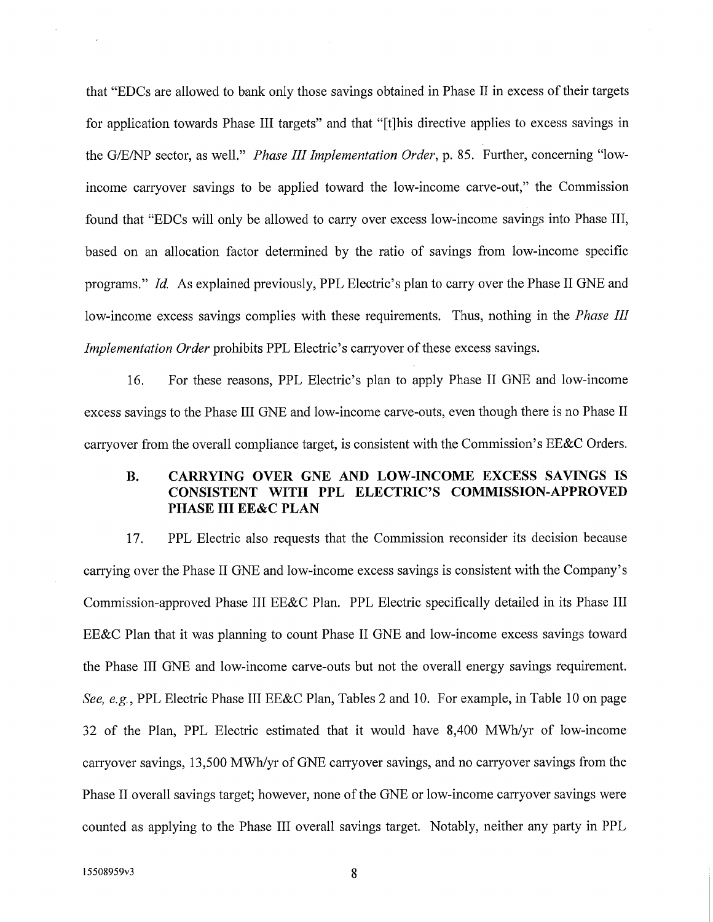that "EDCs are allowed to bank only those savings obtained in Phase II in excess of their targets for application towards Phase III targets" and that "[t]his directive applies to excess savings in the G/E/NP sector, as well." *Phase III Implementation Order,* p. 85. Further, concerning "lowincome carryover savings to be applied toward the low-income carve-out," the Commission found that "EDCs will only be allowed to cany over excess low-income savings into Phase III, based on an allocation factor determined by the ratio of savings from low-income specific programs." *Id.* As explained previously, PPL Electric's plan to carry over the Phase II GNE and low-income excess savings complies with these requirements. Thus, nothing in the *Phase III Implementation Order prohibits PPL Electric's carryover of these excess savings.* 

16. For these reasons, PPL Electric's plan to apply Phase II GNE and low-income excess savings to the Phase III GNE and low-income carve-outs, even though there is no Phase II carryover from the overall compliance target, is consistent with the Commission's EE&C Orders.

# **B. CARRYING OVER GNE AND LOW-INCOME EXCESS SAVINGS IS CONSISTENT WITH PPL ELECTRIC'S COMMISSION-APPROVED PHASE III EE&C PLAN**

17. PPL Electric also requests that the Commission reconsider its decision because carrying over the Phase II GNE and low-income excess savings is consistent with the Company's Commission-approved Phase III EE&C Plan. PPL Electric specifically detailed in its Phase III EE&C Plan that it was planning to count Phase II GNE and low-income excess savings toward the Phase III GNE and low-income carve-outs but not the overall energy savings requirement. *See, e.g.,* PPL Electric Phase III EE&C Plan, Tables 2 and 10. For example, in Table 10 on page 32 of the Plan, PPL Electric estimated that it would have 8,400 MWh/yr of low-income carryover savings, 13,500 MWh/yr of GNE carryover savings, and no carryover savings from the Phase II overall savings target; however, none of the GNE or low-income carryover savings were counted as applying to the Phase III overall savings target. Notably, neither any party in PPL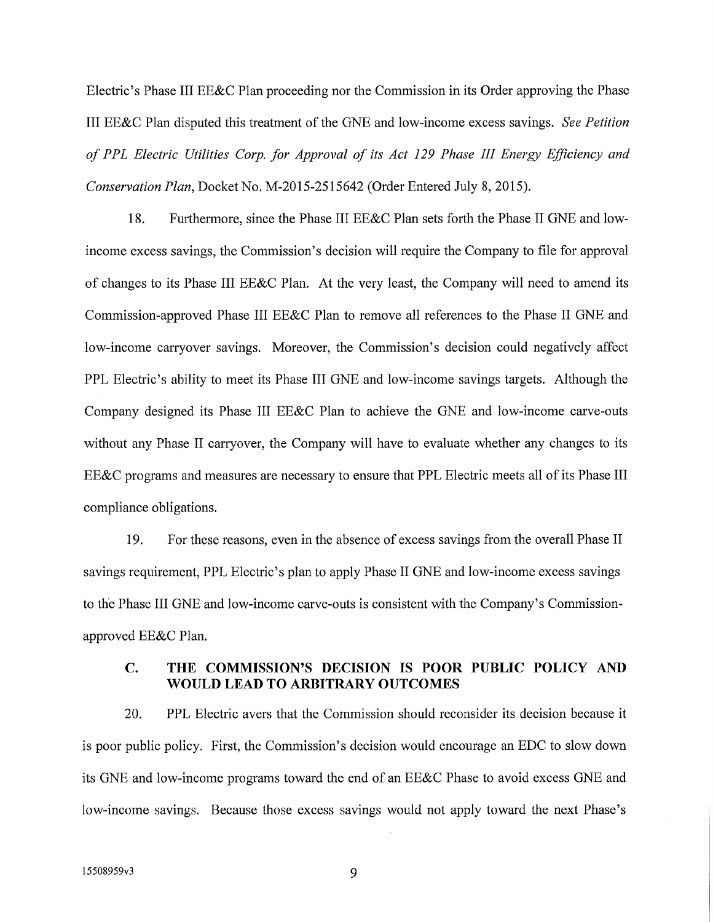Electric's Phase III EE&C Plan proceeding nor the Commission in its Order approving the Phase III EE&C Plan disputed this treatment of the GNE and low-income excess savings. *See Petition of PPL Electric Utilities Corp. for Approval of its Act 129 Phase III Energy Efficiency and Conservation Plan,* Docket No. M-2015-2515642 (Order Entered July 8, 2015).

18. Furthermore, since the Phase III EE&C Plan sets forth the Phase II GNE and lowincome excess savings, the Commission's decision will require the Company to file for approval of changes to its Phase III EE&C Plan. At the very least, the Company will need to amend its Commission-approved Phase III EE&C Plan to remove all references to the Phase II GNE and low-income carryover savings. Moreover, the Commission's decision could negatively affect PPL Electric's ability to meet its Phase III GNE and low-income savings targets. Although the Company designed its Phase III EE&C Plan to achieve the GNE and low-income carve-outs without any Phase II carryover, the Company will have to evaluate whether any changes to its EE&C programs and measures are necessary to ensure that PPL Electric meets all of its Phase III compliance obligations.

19. For these reasons, even in the absence of excess savings from the overall Phase II savings requirement, PPL Electric's plan to apply Phase II GNE and low-income excess savings to the Phase III GNE and low-income carve-outs is consistent with the Company's Commissionapproved EE&C Plan.

## **C. THE COMMISSION'S DECISION IS POOR PUBLIC POLICY AND WOULD LEAD TO ARBITRARY OUTCOMES**

20. PPL Electric avers that the Commission should reconsider its decision because it is poor public policy. First, the Commission's decision would encourage an EDC to slow down its GNE and low-income programs toward the end of an EE&C Phase to avoid excess GNE and low-income savings. Because those excess savings would not apply toward the next Phase's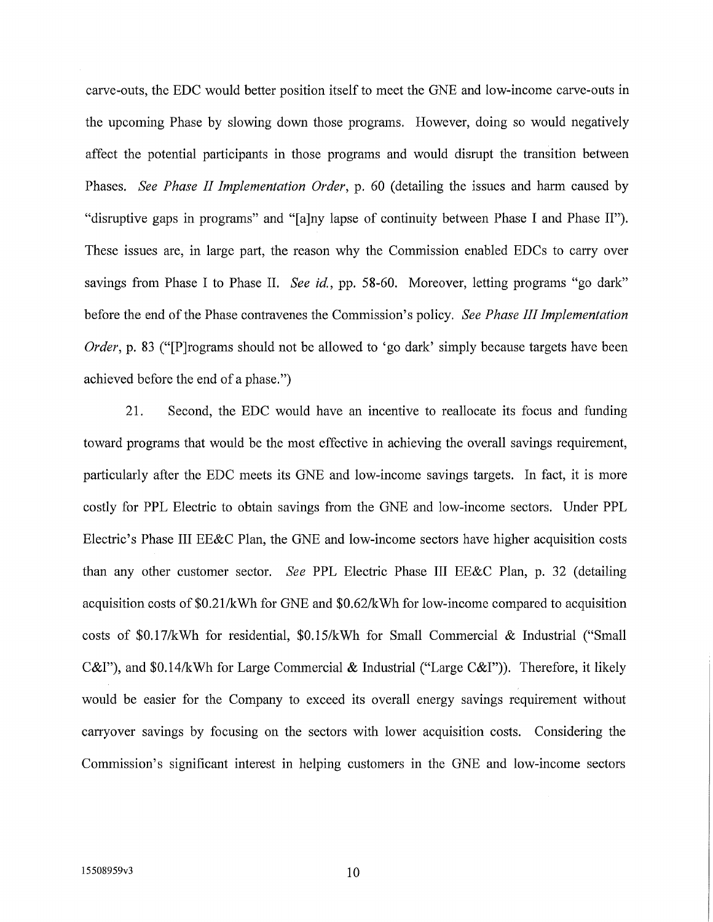carve-outs, the EDC would better position itself to meet the GNE and low-income carve-outs in the upcoming Phase by slowing down those programs. However, doing so would negatively affect the potential participants in those programs and would disrupt the transition between Phases. *See Phase II Implementation Order,* p. 60 (detailing the issues and harm caused by "disruptive gaps in programs" and "[a]ny lapse of continuity between Phase I and Phase II"). These issues are, in large part, the reason why the Commission enabled EDCs to cany oversavings from Phase I to Phase II. *See id.,* pp. 58-60. Moreover, letting programs "go dark" before the end of the Phase contravenes the Commission's policy. *See Phase III Implementation Order*, p. 83 ("P rograms should not be allowed to 'go dark' simply because targets have been achieved before the end of a phase.")

21. Second, the EDC would have an incentive to reallocate its focus and funding toward programs that would be the most effective in achieving the overall savings requirement, particularly after the EDC meets its GNE and low-income savings targets. In fact, it is more costly for PPL Electric to obtain savings from the GNE and low-income sectors. Under PPL Electric's Phase III EE&C Plan, the GNE and low-income sectors have higher acquisition costs than any other customer sector. *See* PPL Electric Phase III EE&C Plan, p. 32 (detailing acquisition costs of \$0.21/kWh for GNE and \$0.62/kWh for low-income compared to acquisition costs of \$0.17/kWh for residential, \$0.15/kWh for Small Commercial & Industrial ("Small C&I"), and \$0.14/kWh for Large Commercial & Industrial ("Large C&I")). Therefore, it likely would be easier for the Company to exceed its overall energy savings requirement without carryover savings by focusing on the sectors with lower acquisition costs. Considering the Commission's significant interest in helping customers in the GNE and low-income sectors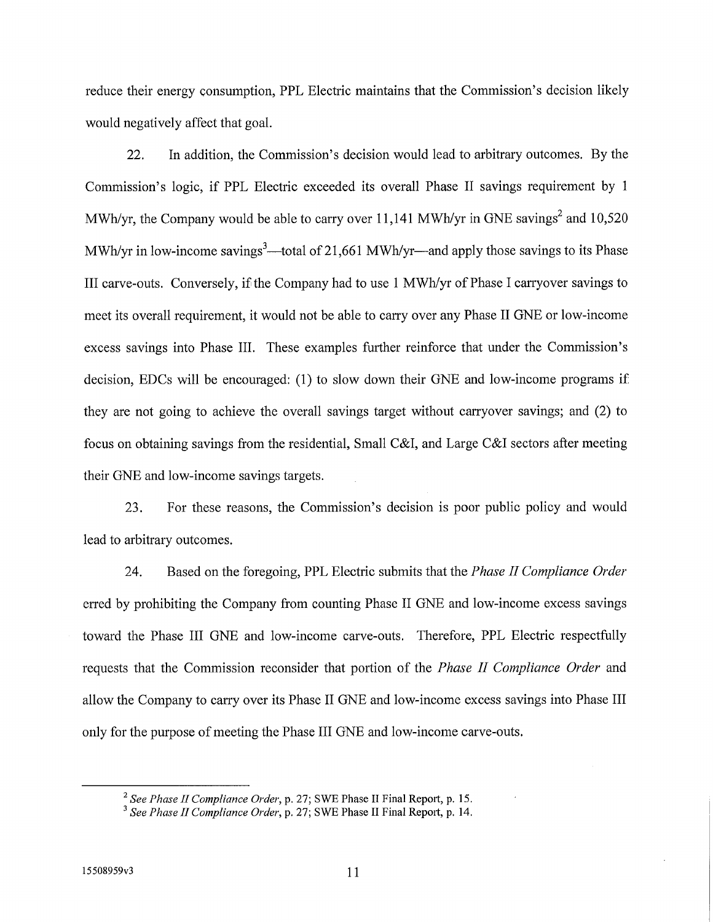reduce their energy consumption, PPL Electric maintains that the Commission's decision likely would negatively affect that goal.

22. In addition, the Commission's decision would lead to arbitrary outcomes. By the Commission's logic, if PPL Electric exceeded its overall Phase II savings requirement by 1 MWh/yr, the Company would be able to carry over 11,141 MWh/yr in GNE savings<sup>2</sup> and  $10,520$ MWh/yr in low-income savings<sup>3</sup>—total of 21,661 MWh/yr—and apply those savings to its Phase III carve-outs. Conversely, if the Company had to use 1 MWh/yr of Phase I carryover savings to meet its overall requirement, it would not be able to carry over any Phase II GNE or low-income excess savings into Phase III. These examples further reinforce that under the Commission's decision, EDCs will be encouraged: (1) to slow down their GNE and low-income programs if they are not going to achieve the overall savings target without carryover savings; and (2) to focus on obtaining savings from the residential, Small C&I, and Large C&I sectors after meeting their GNE and low-income savings targets.

23. For these reasons, the Commission's decision is poor public policy and would lead to arbitrary outcomes.

24. Based on the foregoing, PPL Electric submits that the *Phase II Compliance Order*  erred by prohibiting the Company from counting Phase II GNE and low-income excess savings toward the Phase III GNE and low-income carve-outs. Therefore, PPL Electric respectfully requests that the Commission reconsider that portion of the *Phase II Compliance Order* and allow the Company to cany over its Phase II GNE and low-income excess savings into Phase III only for the purpose of meeting the Phase III GNE and low-income carve-outs.

*<sup>2</sup>See Phase II Compliance Order*, p. 27; SWE Phase II Final Report, p. 15.

*<sup>3</sup>See Phase II Compliance Order,* p. 27; SWE Phase II Final Report, p. 14.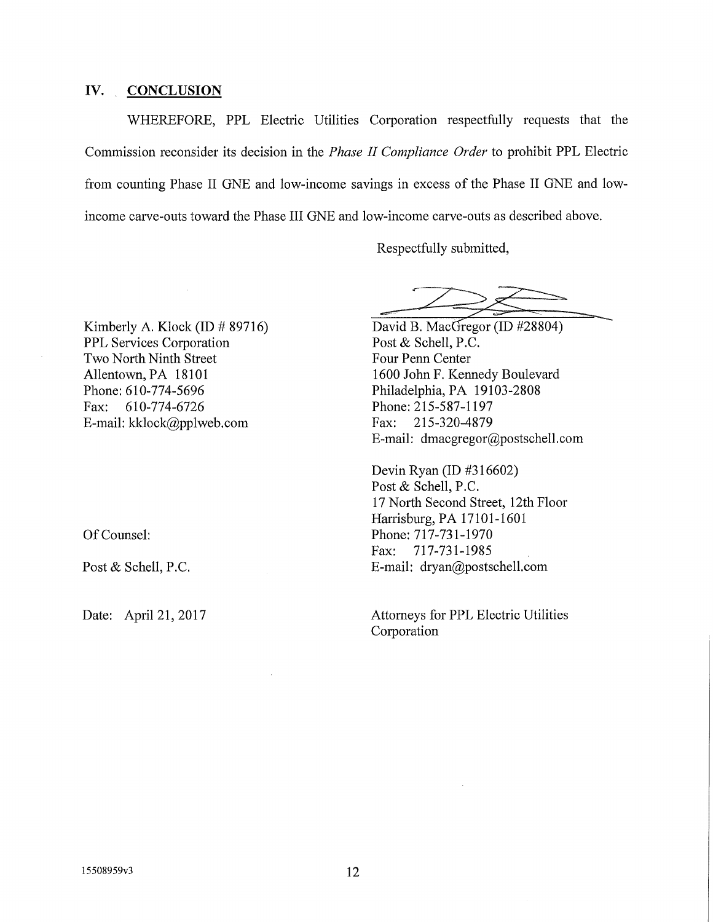### **IV. CONCLUSION**

WHEREFORE, PPL Electric Utilities Corporation respectfully requests that the Commission reconsider its decision in the *Phase II Compliance Order* to prohibit PPL Electric from counting Phase II GNE and low-income savings in excess of the Phase II GNE and lowincome carve-outs toward the Phase III GNE and low-income carve-outs as described above.

Respectfully submitted,

Kimberly A. Klock (ID # 89716) PPL Services Corporation Two North Ninth Street Allentown, PA 18101 Phone: 610-774-5696 Fax: 610-774-6726 E-mail: kklock@pplweb.com

Of Counsel:

Post & Schell, P.C.

David B. MacGregor (ID #28804) Post & Schell, P.C. Four Penn Center 1600 John F. Kennedy Boulevard Philadelphia, PA 19103-2808 Phone:215-587-1197 Fax: 215-320-4879 E-mail: dmacgregor@postschell.com

Devin Ryan (ID #316602) Post & Schell, P.C. 17 North Second Street, 12th Floor Harrisburg, PA 17101-1601 Phone: 717-731-1970 Fax: 717-731-1985 E-mail: dryan@postschell.com

Date: April 21, 2017 Attorneys for PPL Electric Utilities Corporation